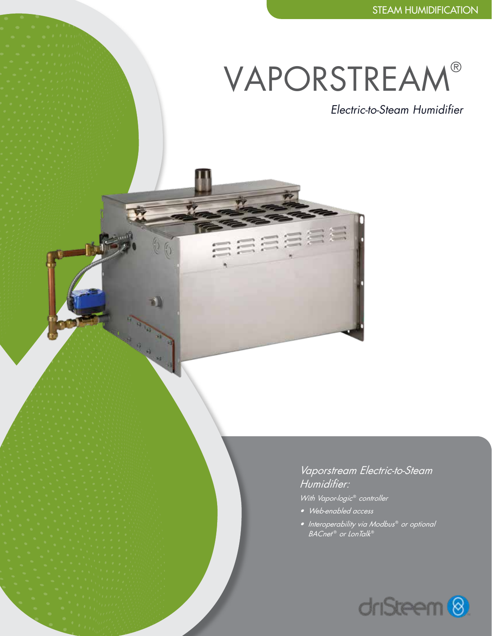# VAPORSTREAM®

 $66$ 

*Electric-to-Steam Humidifier*

*Vaporstream Electric-to-Steam Humidifier:*

*With Vapor-logic*® *controller*

- *• Web-enabled access*
- *Interoperability via Modbus*® *or optional BACnet*  ® *or LonTalk*®

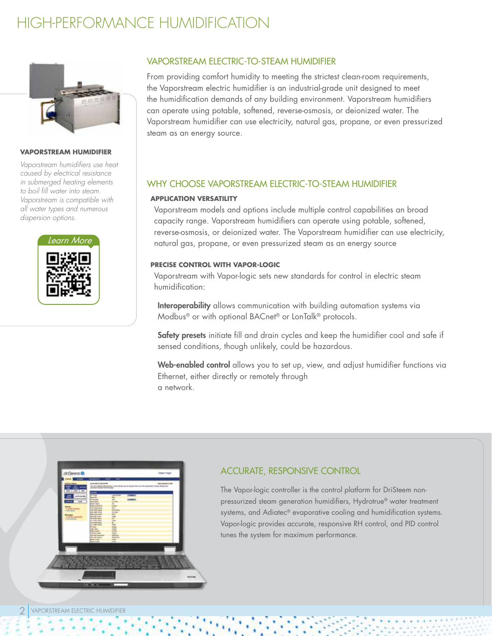# HIGH-PERFORMANCE HUMIDIFICATION



#### **VAPORSTREAM HUMIDIFIER**

*Vaporstream humidifiers use heat caused by electrical resistance in submerged heating elements to boil fill water into steam. Vaporstream is compatible with all water types and numerous dispersion options.*



### VAPORSTREAM ELECTRIC-TO-STEAM HUMIDIFIER

From providing comfort humidity to meeting the strictest clean-room requirements, the Vaporstream electric humidifier is an industrial-grade unit designed to meet the humidification demands of any building environment. Vaporstream humidifiers can operate using potable, softened, reverse-osmosis, or deionized water. The Vaporstream humidifier can use electricity, natural gas, propane, or even pressurized steam as an energy source.

### WHY CHOOSE VAPORSTREAM ELECTRIC-TO-STEAM HUMIDIFIER

#### **APPLICATION VERSATILITY**

Vaporstream models and options include multiple control capabilities an broad capacity range. Vaporstream humidifiers can operate using potable, softened, reverse-osmosis, or deionized water. The Vaporstream humidifier can use electricity, natural gas, propane, or even pressurized steam as an energy source

### **PRECISE CONTROL WITH VAPOR-LOGIC**

Vaporstream with Vapor-logic sets new standards for control in electric steam humidification:

Interoperability allows communication with building automation systems via Modbus® or with optional BACnet® or LonTalk® protocols.

Safety presets initiate fill and drain cycles and keep the humidifier cool and safe if sensed conditions, though unlikely, could be hazardous.

Web-enabled control allows you to set up, view, and adjust humidifier functions via Ethernet, either directly or remotely through a network.



## ACCURATE, RESPONSIVE CONTROL

The Vapor-logic controller is the control platform for DriSteem nonpressurized steam generation humidifiers, Hydrotrue® water treatment systems, and Adiatec<sup>®</sup> evaporative cooling and humidification systems. Vapor-logic provides accurate, responsive RH control, and PID control tunes the system for maximum performance.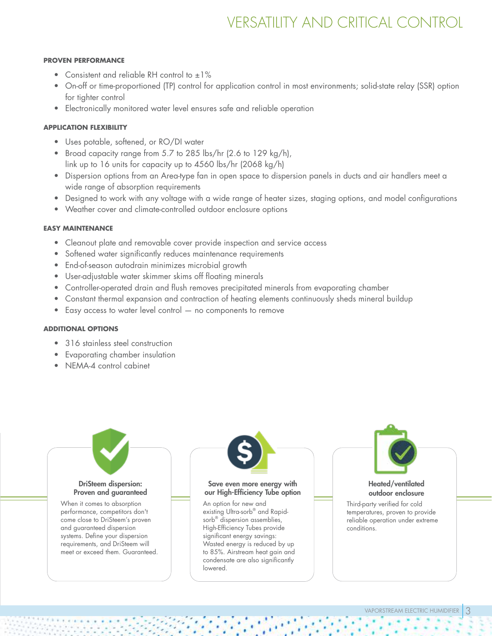# VERSATILITY AND CRITICAL CONTROL

#### **PROVEN PERFORMANCE**

- Consistent and reliable RH control to  $\pm 1\%$
- On-off or time-proportioned (TP) control for application control in most environments; solid-state relay (SSR) option for tighter control
- Electronically monitored water level ensures safe and reliable operation

### **APPLICATION FLEXIBILITY**

- Uses potable, softened, or RO/DI water
- Broad capacity range from 5.7 to 285 lbs/hr (2.6 to 129 kg/h), link up to 16 units for capacity up to 4560 lbs/hr (2068 kg/h)
- Dispersion options from an Area-type fan in open space to dispersion panels in ducts and air handlers meet a wide range of absorption requirements
- Designed to work with any voltage with a wide range of heater sizes, staging options, and model configurations
- Weather cover and climate-controlled outdoor enclosure options

### **EASY MAINTENANCE**

- Cleanout plate and removable cover provide inspection and service access
- Softened water significantly reduces maintenance requirements
- End-of-season autodrain minimizes microbial growth
- User-adjustable water skimmer skims off floating minerals
- Controller-operated drain and flush removes precipitated minerals from evaporating chamber
- Constant thermal expansion and contraction of heating elements continuously sheds mineral buildup
- Easy access to water level control no components to remove

### **ADDITIONAL OPTIONS**

- 316 stainless steel construction
- Evaporating chamber insulation
- NEMA-4 control cabinet

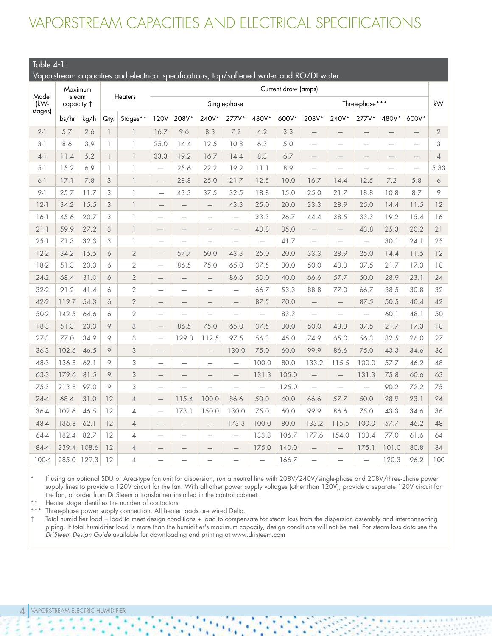# VAPORSTREAM CAPACITIES AND ELECTRICAL SPECIFICATIONS

### Table 4-1:

Vaporstream capacities and electrical specifications, tap/softened water and RO/DI water

|               | Maximum             |       |                          |                          | Current draw (amps)      |                          |                          |                          |                          |                |                          |                          |                          |                          |                          |                |
|---------------|---------------------|-------|--------------------------|--------------------------|--------------------------|--------------------------|--------------------------|--------------------------|--------------------------|----------------|--------------------------|--------------------------|--------------------------|--------------------------|--------------------------|----------------|
| Model<br>(kW- | steam<br>capacity + |       | <b>Heaters</b>           |                          | Single-phase             |                          |                          |                          |                          | Three-phase*** |                          |                          |                          | kW                       |                          |                |
| stages)       | lbs/hr              | kg/h  | Qty.                     | Stages**                 | 120V                     | 208V*                    | 240V*                    | 277V*                    | 480V*                    | 600V*          | 208V*                    | 240V*                    | 277V*                    | 480V*                    | 600V*                    |                |
| $2 - 1$       | 5.7                 | 2.6   | $\overline{1}$           | $\overline{\phantom{a}}$ | 16.7                     | 9.6                      | 8.3                      | 7.2                      | 4.2                      | 3.3            |                          | $\qquad \qquad -$        | $\qquad \qquad -$        | $\qquad \qquad -$        | $\overline{\phantom{0}}$ | $\sqrt{2}$     |
| $3 - 1$       | 8.6                 | 3.9   | $\overline{1}$           | $\overline{\phantom{a}}$ | 25.0                     | 14.4                     | 12.5                     | 10.8                     | 6.3                      | 5.0            | $\equiv$                 | $\overline{\phantom{0}}$ | $\overline{\phantom{0}}$ | $\overline{\phantom{0}}$ | $\equiv$                 | 3              |
| $4-1$         | 11.4                | 5.2   | $\overline{\phantom{a}}$ | $\overline{\phantom{a}}$ | 33.3                     | 19.2                     | 16.7                     | 14.4                     | 8.3                      | 6.7            |                          | —                        | $\qquad \qquad -$        | $\qquad \qquad -$        |                          | $\overline{4}$ |
| $5 - 1$       | 15.2                | 6.9   | $\mathbb{I}$             | $\overline{\phantom{a}}$ | $\equiv$                 | 25.6                     | 22.2                     | 19.2                     | 11.1                     | 8.9            | $\overline{\phantom{0}}$ | $\overline{\phantom{0}}$ | $\overline{\phantom{0}}$ | $\overline{\phantom{0}}$ | $\equiv$                 | 5.33           |
| $6 - 1$       | 17.1                | 7.8   | 3                        | $\overline{\phantom{a}}$ | $\overline{\phantom{0}}$ | 28.8                     | 25.0                     | 21.7                     | 12.5                     | 10.0           | 16.7                     | 14.4                     | 12.5                     | 7.2                      | 5.8                      | 6              |
| $9 - 1$       | 25.7                | 11.7  | 3                        | $\mathbf{1}$             | $\overline{\phantom{0}}$ | 43.3                     | 37.5                     | 32.5                     | 18.8                     | 15.0           | 25.0                     | 21.7                     | 18.8                     | 10.8                     | 8.7                      | 9              |
| $12-1$        | 34.2                | 15.5  | 3                        | $\overline{\phantom{a}}$ |                          | $\overline{\phantom{0}}$ | $\qquad \qquad -$        | 43.3                     | 25.0                     | 20.0           | 33.3                     | 28.9                     | 25.0                     | 14.4                     | 11.5                     | 12             |
| $16-1$        | 45.6                | 20.7  | 3                        | $\overline{\phantom{a}}$ | $\overline{\phantom{0}}$ | $\overline{\phantom{0}}$ | $\overline{\phantom{0}}$ | $\overline{\phantom{0}}$ | 33.3                     | 26.7           | 44.4                     | 38.5                     | 33.3                     | 19.2                     | 15.4                     | 16             |
| $21-1$        | 59.9                | 27.2  | 3                        | $\overline{1}$           | $\qquad \qquad -$        |                          |                          | $\overline{\phantom{0}}$ | 43.8                     | 35.0           | $\qquad \qquad$          | $\qquad \qquad -$        | 43.8                     | 25.3                     | 20.2                     | 21             |
| $25 - 1$      | 71.3                | 32.3  | 3                        | $\mathbf{1}$             | $\overline{\phantom{0}}$ | $\overline{\phantom{0}}$ | $\overline{\phantom{0}}$ | $\overline{\phantom{0}}$ | $\equiv$                 | 41.7           |                          | $\overline{\phantom{0}}$ | $\equiv$                 | 30.1                     | 24.1                     | 25             |
| $12 - 2$      | 34.2                | 15.5  | 6                        | $\overline{2}$           | $\overline{\phantom{0}}$ | 57.7                     | 50.0                     | 43.3                     | 25.0                     | 20.0           | 33.3                     | 28.9                     | 25.0                     | 14.4                     | 11.5                     | 12             |
| $18-2$        | 51.3                | 23.3  | 6                        | $\overline{2}$           | $\overline{\phantom{0}}$ | 86.5                     | 75.0                     | 65.0                     | 37.5                     | 30.0           | 50.0                     | 43.3                     | 37.5                     | 21.7                     | 17.3                     | 18             |
| $24-2$        | 68.4                | 31.0  | 6                        | $\overline{2}$           | $\qquad \qquad -$        | $\overline{\phantom{0}}$ | $\overline{\phantom{m}}$ | 86.6                     | 50.0                     | 40.0           | 66.6                     | 57.7                     | 50.0                     | 28.9                     | 23.1                     | 24             |
| $32 - 2$      | 91.2                | 41.4  | 6                        | $\overline{2}$           | $\overline{\phantom{0}}$ | —                        | $\overline{\phantom{0}}$ | $\overline{\phantom{0}}$ | 66.7                     | 53.3           | 88.8                     | 77.0                     | 66.7                     | 38.5                     | 30.8                     | 32             |
| $42 - 2$      | 119.7               | 54.3  | 6                        | $\overline{2}$           | $\qquad \qquad -$        | —                        | $\qquad \qquad -$        | $\overline{\phantom{0}}$ | 87.5                     | 70.0           |                          | $\overline{\phantom{0}}$ | 87.5                     | 50.5                     | 40.4                     | 42             |
| $50-2$        | 142.5               | 64.6  | 6                        | $\overline{2}$           | $\overline{\phantom{0}}$ |                          | $\overline{\phantom{0}}$ | $\overline{\phantom{0}}$ | $\overline{\phantom{0}}$ | 83.3           |                          | $\overline{\phantom{0}}$ | $\overline{\phantom{0}}$ | 60.1                     | 48.1                     | 50             |
| $18-3$        | 51.3                | 23.3  | 9                        | 3                        | $\overline{\phantom{0}}$ | 86.5                     | 75.0                     | 65.0                     | 37.5                     | 30.0           | 50.0                     | 43.3                     | 37.5                     | 21.7                     | 17.3                     | 18             |
| $27-3$        | 77.0                | 34.9  | 9                        | 3                        | $\overline{\phantom{0}}$ | 129.8                    | 112.5                    | 97.5                     | 56.3                     | 45.0           | 74.9                     | 65.0                     | 56.3                     | 32.5                     | 26.0                     | 27             |
| 36-3          | 102.6               | 46.5  | 9                        | 3                        | $\overline{\phantom{0}}$ | $\overline{\phantom{0}}$ | $\qquad \qquad -$        | 130.0                    | 75.0                     | 60.0           | 99.9                     | 86.6                     | 75.0                     | 43.3                     | 34.6                     | 36             |
| 48-3          | 136.8               | 62.1  | 9                        | 3                        | $\overline{\phantom{0}}$ | $\overline{\phantom{0}}$ | $\overline{\phantom{0}}$ | $\overline{\phantom{0}}$ | 100.0                    | 80.0           | 133.2                    | 115.5                    | 100.0                    | 57.7                     | 46.2                     | 48             |
| 63-3          | 179.6               | 81.5  | 9                        | 3                        | $\overline{\phantom{0}}$ | $\qquad \qquad -$        | $\qquad \qquad -$        | $\overline{\phantom{0}}$ | 131.3                    | 105.0          |                          | $\overline{\phantom{0}}$ | 131.3                    | 75.8                     | 60.6                     | 63             |
| $75-3$        | 213.8               | 97.0  | 9                        | 3                        | $\overline{\phantom{0}}$ |                          |                          | $\overline{\phantom{0}}$ | $\overline{\phantom{0}}$ | 125.0          | $\overline{\phantom{0}}$ | $\overline{\phantom{0}}$ | $\overline{\phantom{0}}$ | 90.2                     | 72.2                     | 75             |
| $24-4$        | 68.4                | 31.0  | 12                       | $\overline{4}$           | $\overline{\phantom{0}}$ | 115.4                    | 100.0                    | 86.6                     | 50.0                     | 40.0           | 66.6                     | 57.7                     | 50.0                     | 28.9                     | 23.1                     | 24             |
| 36-4          | 102.6               | 46.5  | 12                       | $\overline{4}$           | $\overline{\phantom{0}}$ | 173.1                    | 150.0                    | 130.0                    | 75.0                     | 60.0           | 99.9                     | 86.6                     | 75.0                     | 43.3                     | 34.6                     | 36             |
| 48-4          | 136.8               | 62.1  | 12                       | $\overline{4}$           |                          |                          | $\qquad \qquad -$        | 173.3                    | 100.0                    | 80.0           | 133.2                    | 115.5                    | 100.0                    | 57.7                     | 46.2                     | 48             |
| 64-4          | 182.4               | 82.7  | 12                       | $\overline{4}$           |                          | $\overline{\phantom{0}}$ | $\overline{\phantom{0}}$ | $\overline{\phantom{0}}$ | 133.3                    | 106.7          | 177.6                    | 154.0                    | 133.4                    | 77.0                     | 61.6                     | 64             |
| 84-4          | 239.4               | 108.6 | 12                       | $\overline{4}$           | $\qquad \qquad -$        |                          | $\qquad \qquad -$        | $\overline{\phantom{0}}$ | 175.0                    | 140.0          |                          | $\qquad \qquad -$        | 175.1                    | 101.0                    | 80.8                     | 84             |
| 100-4         | 285.0               | 129.3 | 12                       | $\overline{4}$           | $\overline{\phantom{0}}$ | $\overline{\phantom{0}}$ | $\overline{\phantom{0}}$ | $\overline{\phantom{0}}$ | $\equiv$                 | 166.7          |                          | $\overline{\phantom{0}}$ | $\equiv$                 | 120.3                    | 96.2                     | 100            |

If using an optional SDU or Area-type fan unit for dispersion, run a neutral line with 208V/240V/single-phase and 208V/three-phase power supply lines to provide a 120V circuit for the fan. With all other power supply voltages (other than 120V), provide a separate 120V circuit for the fan, or order from DriSteem a transformer installed in the control cabinet.

\*\* Heater stage identifies the number of contactors.

\*\*\* Three-phase power supply connection. All heater loads are wired Delta.

† Total humidifier load = load to meet design conditions + load to compensate for steam loss from the dispersion assembly and interconnecting piping. If total humidifier load is more than the humidifier's maximum capacity, design conditions will not be met. For steam loss data see the DriSteem Design Guide available for downloading and printing at www.dristeem.com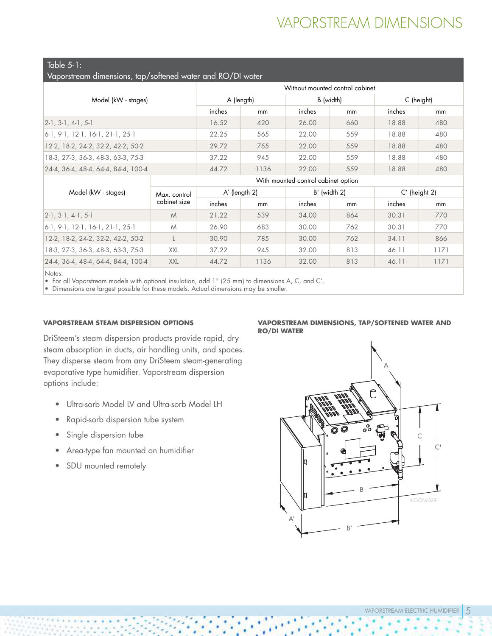# VAPORSTREAM DIMENSIONS

Table 5-1:

| Vaporstream dimensions, tap/softened water and RO/DI water |  |  |  |  |  |  |
|------------------------------------------------------------|--|--|--|--|--|--|
|------------------------------------------------------------|--|--|--|--|--|--|

|                                          | Without mounted control cabinet |      |           |     |            |     |  |  |  |
|------------------------------------------|---------------------------------|------|-----------|-----|------------|-----|--|--|--|
| Model (kW - stages)                      | A (length)                      |      | B (width) |     | C (height) |     |  |  |  |
|                                          | inches                          | mm   | inches    | mm  | inches     | mm  |  |  |  |
| $[2-1, 3-1, 4-1, 5-1]$                   | 16.52                           | 420  | 26.00     | 660 | 18.88      | 480 |  |  |  |
| $\vert$ 6-1, 9-1, 12-1, 16-1, 21-1, 25-1 | 22.25                           | 565  | 22.00     | 559 | 18.88      | 480 |  |  |  |
| 12-2, 18-2, 24-2, 32-2, 42-2, 50-2       | 29.72                           | 755  | 22.00     | 559 | 18.88      | 480 |  |  |  |
| 18-3, 27-3, 36-3, 48-3, 63-3, 75-3       | 37.22                           | 945  | 22.00     | 559 | 18.88      | 480 |  |  |  |
| 24-4, 36-4, 48-4, 64-4, 84-4, 100-4      | 44.72                           | 1136 | 22.00     | 559 | 18.88      | 480 |  |  |  |

With mounted control cabinet option

| Model (kW - stages)                 | Max. control |        | A' (length 2) |        | $B'$ (width 2) | $C'$ (height 2) |      |
|-------------------------------------|--------------|--------|---------------|--------|----------------|-----------------|------|
|                                     | cabinet size | inches | mm            | inches | mm             | inches          | mm   |
| $2-1$ , $3-1$ , $4-1$ , $5-1$       | M            | 21.22  | 539           | 34.00  | 864            | 30.31           | 770  |
| $ 6-1, 9-1, 12-1, 16-1, 21-1, 25-1$ | M            | 26.90  | 683           | 30.00  | 762            | 30.31           | 770  |
| 12-2, 18-2, 24-2, 32-2, 42-2, 50-2  |              | 30.90  | 785           | 30.00  | 762            | 34.11           | 866  |
| 18-3, 27-3, 36-3, 48-3, 63-3, 75-3  | XXL          | 37.22  | 945           | 32.00  | 813            | 46.11           | 1171 |
| 24-4, 36-4, 48-4, 64-4, 84-4, 100-4 | <b>XXL</b>   | 44.72  | 1136          | 32.00  | 813            | 46.11           | 1171 |

Notes:

• For all Vaporstream models with optional insulation, add 1" (25 mm) to dimensions A, C, and C'.

• Dimensions are largest possible for these models. Actual dimensions may be smaller.

### **VAPORSTREAM STEAM DISPERSION OPTIONS**

DriSteem's steam dispersion products provide rapid, dry steam absorption in ducts, air handling units, and spaces. They disperse steam from any DriSteem steam-generating evaporative type humidifier. Vaporstream dispersion options include:

- Ultra-sorb Model LV and Ultra-sorb Model LH
- Rapid-sorb dispersion tube system
- Single dispersion tube
- Area-type fan mounted on humidifier
- SDU mounted remotely

#### **VAPORSTREAM DIMENSIONS, TAP/SOFTENED WATER AND RO/DI WATER**

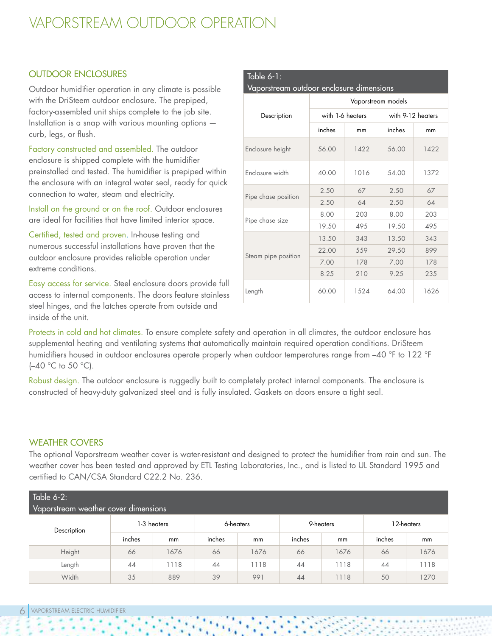# VAPORSTREAM OUTDOOR OPERATION

### OUTDOOR ENCLOSURES

Outdoor humidifier operation in any climate is possible with the DriSteem outdoor enclosure. The prepiped, factory-assembled unit ships complete to the job site. Installation is a snap with various mounting options curb, legs, or flush.

Factory constructed and assembled. The outdoor enclosure is shipped complete with the humidifier preinstalled and tested. The humidifier is prepiped within the enclosure with an integral water seal, ready for quick connection to water, steam and electricity.

Install on the ground or on the roof. Outdoor enclosures are ideal for facilities that have limited interior space.

Certified, tested and proven. In-house testing and numerous successful installations have proven that the outdoor enclosure provides reliable operation under extreme conditions.

Easy access for service. Steel enclosure doors provide full access to internal components. The doors feature stainless steel hinges, and the latches operate from outside and inside of the unit.

| Table $6-1$ :<br>Vaporstream outdoor enclosure dimensions |                    |                  |                   |      |  |  |  |  |  |
|-----------------------------------------------------------|--------------------|------------------|-------------------|------|--|--|--|--|--|
|                                                           | Vaporstream models |                  |                   |      |  |  |  |  |  |
| Description                                               |                    | with 1-6 heaters | with 9-12 heaters |      |  |  |  |  |  |
|                                                           | inches             | mm               | inches            | mm   |  |  |  |  |  |
| Enclosure height                                          | 56.00              | 1422             | 56.00             | 1422 |  |  |  |  |  |
| Enclosure width                                           | 40.00              | 1016             | 54.00             | 1372 |  |  |  |  |  |
|                                                           | 2.50               | 67               | 2.50              | 67   |  |  |  |  |  |
| Pipe chase position                                       | 2.50               | 64               | 2.50              | 64   |  |  |  |  |  |
|                                                           | 8.00               | 203              | 8.00              | 203  |  |  |  |  |  |
| Pipe chase size                                           | 19.50              | 495              | 19.50             | 49.5 |  |  |  |  |  |
|                                                           | 13.50              | 343              | 13.50             | 343  |  |  |  |  |  |
|                                                           | 22.00              | 559              | 29.50             | 899  |  |  |  |  |  |
| Steam pipe position                                       | 7.00               | 178              | 7.00              | 178  |  |  |  |  |  |
|                                                           | 8.25               | 210              | 9.25              | 235  |  |  |  |  |  |
| Length                                                    | 60.00              | 1.524            | 64.00             | 1626 |  |  |  |  |  |

Protects in cold and hot climates. To ensure complete safety and operation in all climates, the outdoor enclosure has supplemental heating and ventilating systems that automatically maintain required operation conditions. DriSteem humidifiers housed in outdoor enclosures operate properly when outdoor temperatures range from –40 °F to 122 °F  $(-40 °C)$  to 50 °C).

Robust design. The outdoor enclosure is ruggedly built to completely protect internal components. The enclosure is constructed of heavy-duty galvanized steel and is fully insulated. Gaskets on doors ensure a tight seal.

### WEATHER COVERS

The optional Vaporstream weather cover is water-resistant and designed to protect the humidifier from rain and sun. The weather cover has been tested and approved by ETL Testing Laboratories, Inc., and is listed to UL Standard 1995 and certified to CAN/CSA Standard C22.2 No. 236.

| Table 6-2:<br>Vaporstream weather cover dimensions |             |      |        |           |        |           |            |      |  |  |
|----------------------------------------------------|-------------|------|--------|-----------|--------|-----------|------------|------|--|--|
| Description                                        | 1-3 heaters |      |        | 6-heaters |        | 9-heaters | 12-heaters |      |  |  |
|                                                    | inches      | mm   | inches | mm        | inches | mm        | inches     | mm   |  |  |
| Height                                             | 66          | 1676 | 66     | 1676      | 66     | 1676      | 66         | 1676 |  |  |
| Length                                             | 44          | 1118 | 44     | 1118      | 44     | 1118      | 44         | 1118 |  |  |
| Width                                              | 35          | 889  | 39     | 991       | 44     | 1118      | 50         | 1270 |  |  |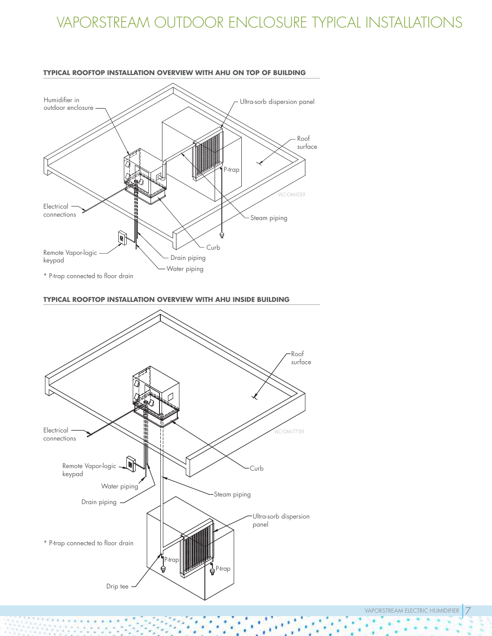# VAPORSTREAM OUTDOOR ENCLOSURE TYPICAL INSTALLATIONS